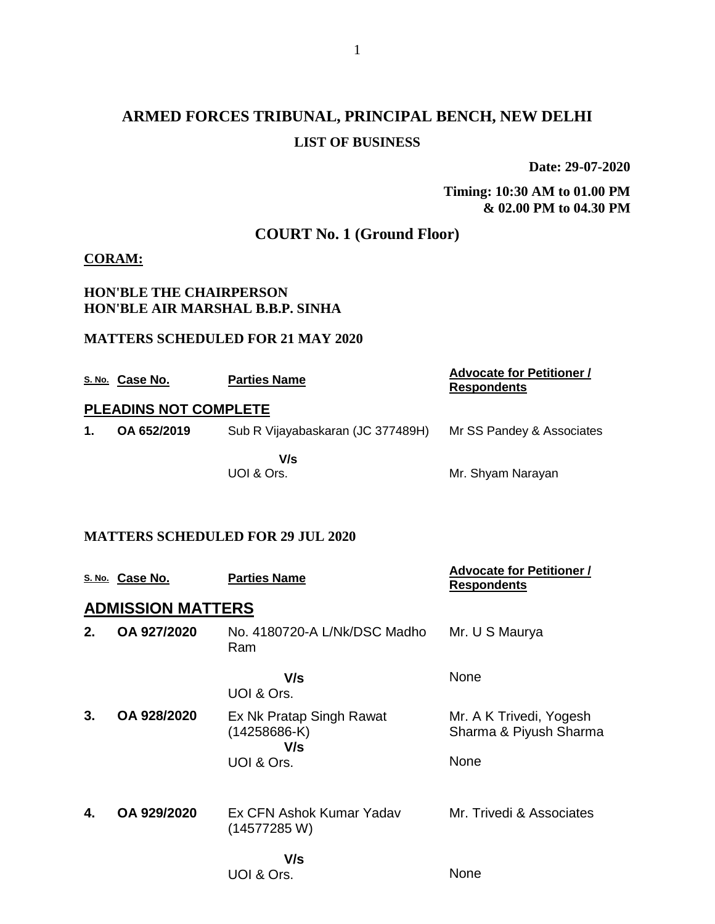# **ARMED FORCES TRIBUNAL, PRINCIPAL BENCH, NEW DELHI LIST OF BUSINESS**

**Date: 29-07-2020**

#### **Timing: 10:30 AM to 01.00 PM & 02.00 PM to 04.30 PM**

## **COURT No. 1 (Ground Floor)**

### **CORAM:**

### **HON'BLE THE CHAIRPERSON HON'BLE AIR MARSHAL B.B.P. SINHA**

#### **MATTERS SCHEDULED FOR 21 MAY 2020**

|               | S. No. Case No.              | <b>Parties Name</b>               | <b>Advocate for Petitioner /</b><br><b>Respondents</b> |
|---------------|------------------------------|-----------------------------------|--------------------------------------------------------|
|               | <b>PLEADINS NOT COMPLETE</b> |                                   |                                                        |
| $\mathbf 1$ . | OA 652/2019                  | Sub R Vijayabaskaran (JC 377489H) | Mr SS Pandey & Associates                              |
|               |                              | V/s<br>UOI & Ors.                 | Mr. Shyam Narayan                                      |

#### **MATTERS SCHEDULED FOR 29 JUL 2020**

|    | S. No. Case No.          | <b>Parties Name</b>                               | <b>Advocate for Petitioner /</b><br><u>Respondents</u> |
|----|--------------------------|---------------------------------------------------|--------------------------------------------------------|
|    | <b>ADMISSION MATTERS</b> |                                                   |                                                        |
| 2. | OA 927/2020              | No. 4180720-A L/Nk/DSC Madho<br>Ram               | Mr. U S Maurya                                         |
|    |                          | V/s<br>UOI & Ors.                                 | None                                                   |
| 3. | OA 928/2020              | Ex Nk Pratap Singh Rawat<br>$(14258686-K)$<br>V/s | Mr. A K Trivedi, Yogesh<br>Sharma & Piyush Sharma      |
|    |                          | UOI & Ors.                                        | <b>None</b>                                            |
| 4. | OA 929/2020              | Ex CFN Ashok Kumar Yadav<br>(14577285 W)          | Mr. Trivedi & Associates                               |
|    |                          | V/s<br>UOI & Ors.                                 | None                                                   |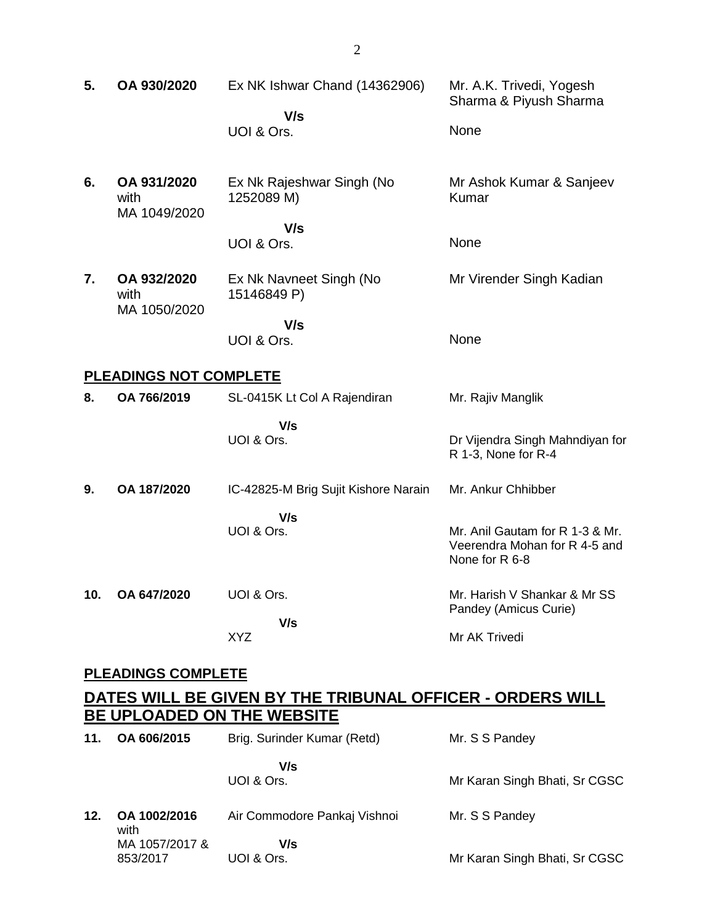| 5.                        | OA 930/2020                                                                             | Ex NK Ishwar Chand (14362906)<br>V/s<br>UOI & Ors.           | Mr. A.K. Trivedi, Yogesh<br>Sharma & Piyush Sharma<br>None                         |  |  |
|---------------------------|-----------------------------------------------------------------------------------------|--------------------------------------------------------------|------------------------------------------------------------------------------------|--|--|
| 6.                        | OA 931/2020<br>with<br>MA 1049/2020                                                     | Ex Nk Rajeshwar Singh (No<br>1252089 M)<br>V/s<br>UOI & Ors. | Mr Ashok Kumar & Sanjeev<br>Kumar<br>None                                          |  |  |
| 7.                        | OA 932/2020<br>with<br>MA 1050/2020                                                     | Ex Nk Navneet Singh (No<br>15146849 P)<br>V/s<br>UOI & Ors.  | Mr Virender Singh Kadian<br>None                                                   |  |  |
|                           | PLEADINGS NOT COMPLETE                                                                  |                                                              |                                                                                    |  |  |
| 8.                        | OA 766/2019                                                                             | SL-0415K Lt Col A Rajendiran                                 | Mr. Rajiv Manglik                                                                  |  |  |
|                           |                                                                                         | V/s<br>UOI & Ors.                                            | Dr Vijendra Singh Mahndiyan for<br>R 1-3, None for R-4                             |  |  |
| 9.                        | OA 187/2020                                                                             | IC-42825-M Brig Sujit Kishore Narain                         | Mr. Ankur Chhibber                                                                 |  |  |
|                           |                                                                                         | V/s<br>UOI & Ors.                                            | Mr. Anil Gautam for R 1-3 & Mr.<br>Veerendra Mohan for R 4-5 and<br>None for R 6-8 |  |  |
| 10.                       | OA 647/2020                                                                             | UOI & Ors.                                                   | Mr. Harish V Shankar & Mr SS<br>Pandey (Amicus Curie)                              |  |  |
|                           |                                                                                         | V/s<br><b>XYZ</b>                                            | Mr AK Trivedi                                                                      |  |  |
| <b>PLEADINGS COMPLETE</b> |                                                                                         |                                                              |                                                                                    |  |  |
|                           | DATES WILL BE GIVEN BY THE TRIBUNAL OFFICER - ORDERS WILL<br>BE UPLOADED ON THE WEBSITE |                                                              |                                                                                    |  |  |
| 11.                       | OA 606/2015                                                                             | Brig. Surinder Kumar (Retd)                                  | Mr. S S Pandey                                                                     |  |  |

 **V/s** UOI & Ors.

Mr Karan Singh Bhati, Sr CGSC

**12. OA 1002/2016** with MA 1057/2017 & 853/2017 Air Commodore Pankaj Vishnoi  **V/s** UOI & Ors. Mr. S S Pandey Mr Karan Singh Bhati, Sr CGSC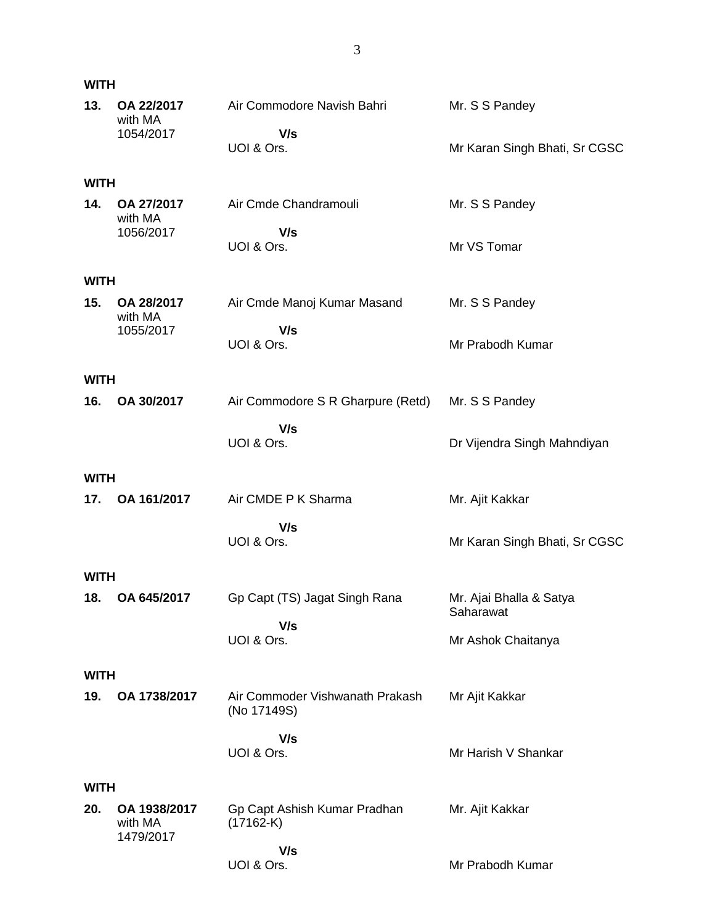| <b>WITH</b> |                                      |                                                |                                      |
|-------------|--------------------------------------|------------------------------------------------|--------------------------------------|
| 13.         | OA 22/2017<br>with MA                | Air Commodore Navish Bahri                     | Mr. S S Pandey                       |
|             | 1054/2017                            | V/s<br>UOI & Ors.                              | Mr Karan Singh Bhati, Sr CGSC        |
| <b>WITH</b> |                                      |                                                |                                      |
| 14.         | OA 27/2017<br>with MA                | Air Cmde Chandramouli                          | Mr. S S Pandey                       |
|             | 1056/2017                            | V/s<br>UOI & Ors.                              | Mr VS Tomar                          |
| <b>WITH</b> |                                      |                                                |                                      |
| 15.         | OA 28/2017<br>with MA                | Air Cmde Manoj Kumar Masand                    | Mr. S S Pandey                       |
|             | 1055/2017                            | V/s<br>UOI & Ors.                              | Mr Prabodh Kumar                     |
| <b>WITH</b> |                                      |                                                |                                      |
| 16.         | OA 30/2017                           | Air Commodore S R Gharpure (Retd)              | Mr. S S Pandey                       |
|             |                                      | V/s<br>UOI & Ors.                              | Dr Vijendra Singh Mahndiyan          |
| <b>WITH</b> |                                      |                                                |                                      |
| 17.         | OA 161/2017                          | Air CMDE P K Sharma                            | Mr. Ajit Kakkar                      |
|             |                                      | V/s<br>UOI & Ors.                              | Mr Karan Singh Bhati, Sr CGSC        |
| <b>WITH</b> |                                      |                                                |                                      |
| 18.         | OA 645/2017                          | Gp Capt (TS) Jagat Singh Rana                  | Mr. Ajai Bhalla & Satya<br>Saharawat |
|             |                                      | V/s<br>UOI & Ors.                              | Mr Ashok Chaitanya                   |
| <b>WITH</b> |                                      |                                                |                                      |
| 19.         | OA 1738/2017                         | Air Commoder Vishwanath Prakash<br>(No 17149S) | Mr Ajit Kakkar                       |
|             |                                      | V/s                                            |                                      |
|             |                                      | UOI & Ors.                                     | Mr Harish V Shankar                  |
| <b>WITH</b> |                                      |                                                |                                      |
| 20.         | OA 1938/2017<br>with MA<br>1479/2017 | Gp Capt Ashish Kumar Pradhan<br>$(17162-K)$    | Mr. Ajit Kakkar                      |
|             |                                      | V/s<br>UOI & Ors.                              | Mr Prabodh Kumar                     |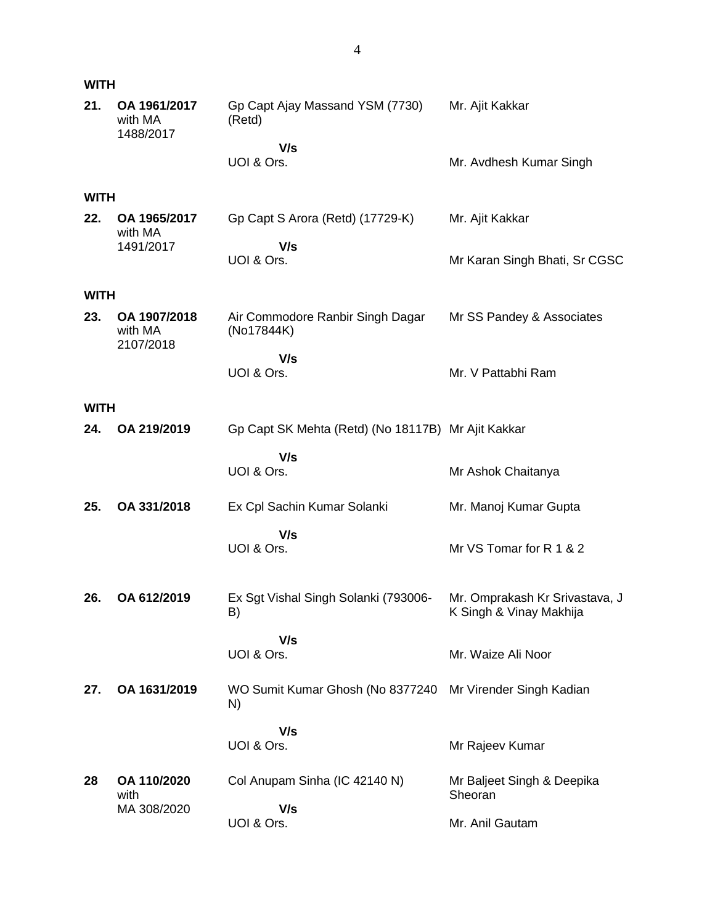| <b>WITH</b> |                                      |                                                                 |                                                           |
|-------------|--------------------------------------|-----------------------------------------------------------------|-----------------------------------------------------------|
| 21.         | OA 1961/2017<br>with MA<br>1488/2017 | Gp Capt Ajay Massand YSM (7730)<br>(Retd)                       | Mr. Ajit Kakkar                                           |
|             |                                      | V/s<br>UOI & Ors.                                               | Mr. Avdhesh Kumar Singh                                   |
| <b>WITH</b> |                                      |                                                                 |                                                           |
| 22.         | OA 1965/2017<br>with MA<br>1491/2017 | Gp Capt S Arora (Retd) (17729-K)<br>V/s                         | Mr. Ajit Kakkar                                           |
|             |                                      | UOI & Ors.                                                      | Mr Karan Singh Bhati, Sr CGSC                             |
| <b>WITH</b> |                                      |                                                                 |                                                           |
| 23.         | OA 1907/2018<br>with MA<br>2107/2018 | Air Commodore Ranbir Singh Dagar<br>(No17844K)                  | Mr SS Pandey & Associates                                 |
|             |                                      | V/s                                                             |                                                           |
|             |                                      | UOI & Ors.                                                      | Mr. V Pattabhi Ram                                        |
| <b>WITH</b> |                                      |                                                                 |                                                           |
| 24.         | OA 219/2019                          | Gp Capt SK Mehta (Retd) (No 18117B) Mr Ajit Kakkar              |                                                           |
|             |                                      | V/s<br>UOI & Ors.                                               | Mr Ashok Chaitanya                                        |
| 25.         | OA 331/2018                          | Ex Cpl Sachin Kumar Solanki                                     | Mr. Manoj Kumar Gupta                                     |
|             |                                      | V/s                                                             |                                                           |
|             |                                      | UOI & Ors.                                                      | Mr VS Tomar for R 1 & 2                                   |
| 26.         | OA 612/2019                          | Ex Sgt Vishal Singh Solanki (793006-<br>B)                      | Mr. Omprakash Kr Srivastava, J<br>K Singh & Vinay Makhija |
|             |                                      | V/s<br>UOI & Ors.                                               | Mr. Waize Ali Noor                                        |
| 27.         | OA 1631/2019                         | WO Sumit Kumar Ghosh (No 8377240 Mr Virender Singh Kadian<br>N) |                                                           |
|             |                                      | V/s                                                             |                                                           |
|             |                                      | UOI & Ors.                                                      | Mr Rajeev Kumar                                           |
| 28          | OA 110/2020<br>with                  | Col Anupam Sinha (IC 42140 N)                                   | Mr Baljeet Singh & Deepika<br>Sheoran                     |
|             | MA 308/2020                          | V/s<br>UOI & Ors.                                               | Mr. Anil Gautam                                           |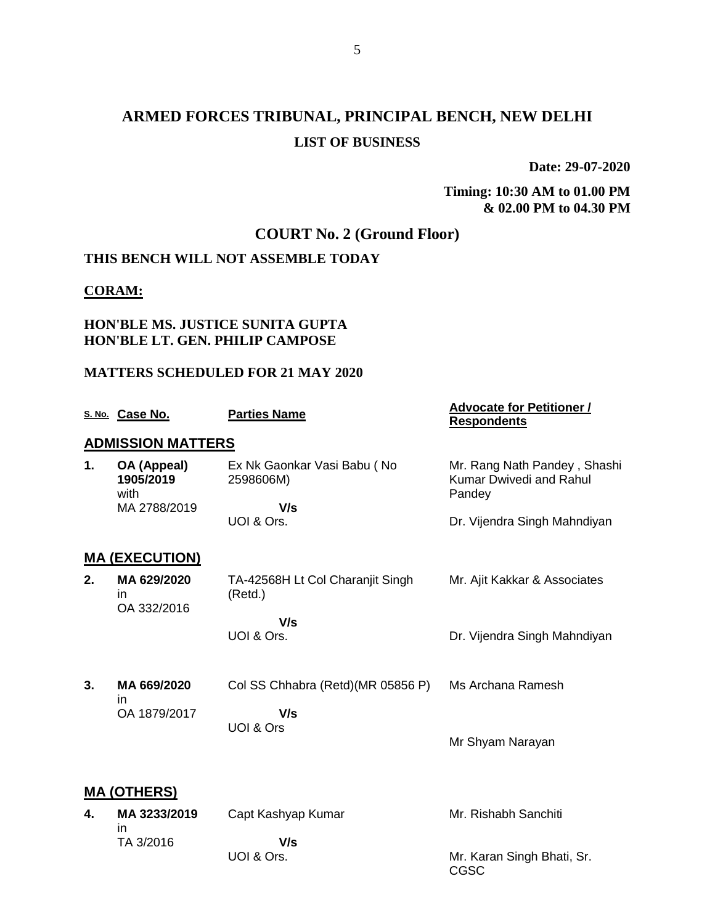## **ARMED FORCES TRIBUNAL, PRINCIPAL BENCH, NEW DELHI LIST OF BUSINESS**

**Date: 29-07-2020**

**Timing: 10:30 AM to 01.00 PM & 02.00 PM to 04.30 PM**

## **COURT No. 2 (Ground Floor)**

### **THIS BENCH WILL NOT ASSEMBLE TODAY**

#### **CORAM:**

### **HON'BLE MS. JUSTICE SUNITA GUPTA HON'BLE LT. GEN. PHILIP CAMPOSE**

### **MATTERS SCHEDULED FOR 21 MAY 2020**

|    | S. No. Case No.                   | <b>Parties Name</b>                         | <b>Advocate for Petitioner /</b><br><b>Respondents</b>            |  |  |
|----|-----------------------------------|---------------------------------------------|-------------------------------------------------------------------|--|--|
|    | <b>ADMISSION MATTERS</b>          |                                             |                                                                   |  |  |
| 1. | OA (Appeal)<br>1905/2019<br>with  | Ex Nk Gaonkar Vasi Babu (No<br>2598606M)    | Mr. Rang Nath Pandey, Shashi<br>Kumar Dwivedi and Rahul<br>Pandey |  |  |
|    | MA 2788/2019                      | V/s                                         |                                                                   |  |  |
|    |                                   | UOI & Ors.                                  | Dr. Vijendra Singh Mahndiyan                                      |  |  |
|    | <u>MA (EXECUTION)</u>             |                                             |                                                                   |  |  |
| 2. | MA 629/2020<br>in.<br>OA 332/2016 | TA-42568H Lt Col Charanjit Singh<br>(Retd.) | Mr. Ajit Kakkar & Associates                                      |  |  |
|    |                                   | V/s                                         |                                                                   |  |  |
|    |                                   | UOI & Ors.                                  | Dr. Vijendra Singh Mahndiyan                                      |  |  |
|    |                                   |                                             |                                                                   |  |  |
| 3. | MA 669/2020                       | Col SS Chhabra (Retd) (MR 05856 P)          | Ms Archana Ramesh                                                 |  |  |
|    | in.<br>OA 1879/2017               | V/s                                         |                                                                   |  |  |
|    |                                   | UOI & Ors                                   |                                                                   |  |  |
|    |                                   |                                             | Mr Shyam Narayan                                                  |  |  |
|    |                                   |                                             |                                                                   |  |  |
|    | <b>MA (OTHERS)</b>                |                                             |                                                                   |  |  |
| 4. | MA 3233/2019                      | Capt Kashyap Kumar                          | Mr. Rishabh Sanchiti                                              |  |  |
|    | in.<br>TA 3/2016                  | V/s                                         |                                                                   |  |  |
|    |                                   | UOI & Ors.                                  | Mr. Karan Singh Bhati, Sr.<br>CGSC                                |  |  |
|    |                                   |                                             |                                                                   |  |  |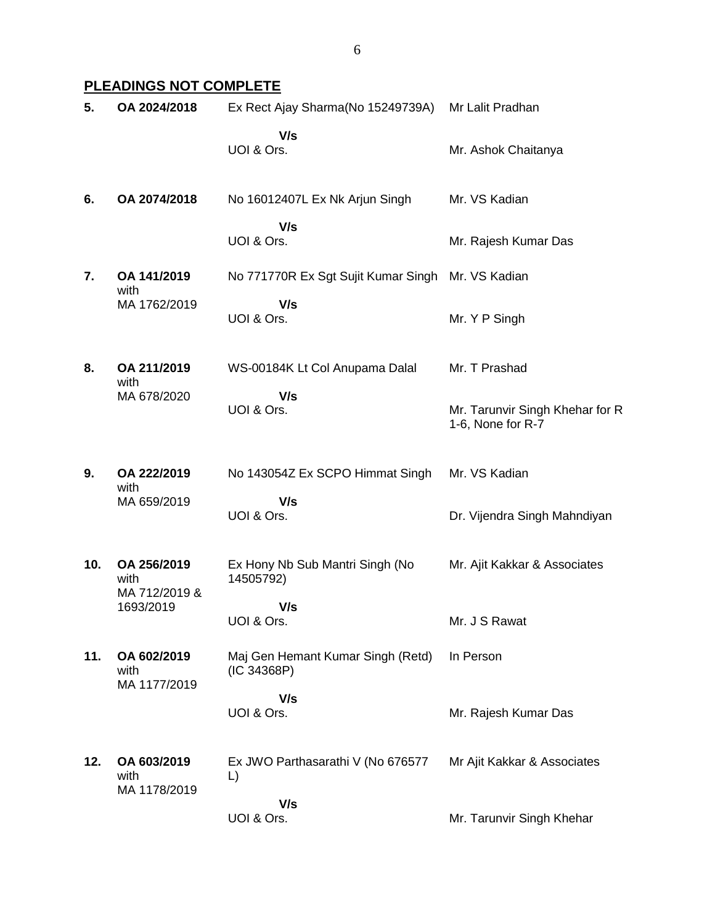### **PLEADINGS NOT COMPLETE**

| 5.  | OA 2024/2018                         | Ex Rect Ajay Sharma(No 15249739A)                 | Mr Lalit Pradhan                                     |
|-----|--------------------------------------|---------------------------------------------------|------------------------------------------------------|
|     |                                      | V/s<br>UOI & Ors.                                 | Mr. Ashok Chaitanya                                  |
| 6.  | OA 2074/2018                         | No 16012407L Ex Nk Arjun Singh                    | Mr. VS Kadian                                        |
|     |                                      | V/s<br>UOI & Ors.                                 | Mr. Rajesh Kumar Das                                 |
| 7.  | OA 141/2019<br>with<br>MA 1762/2019  | No 771770R Ex Sgt Sujit Kumar Singh Mr. VS Kadian |                                                      |
|     |                                      | V/s<br>UOI & Ors.                                 | Mr. Y P Singh                                        |
| 8.  | OA 211/2019<br>with                  | WS-00184K Lt Col Anupama Dalal                    | Mr. T Prashad                                        |
|     | MA 678/2020                          | V/s<br>UOI & Ors.                                 | Mr. Tarunvir Singh Khehar for R<br>1-6, None for R-7 |
| 9.  | OA 222/2019<br>with                  | No 143054Z Ex SCPO Himmat Singh                   | Mr. VS Kadian                                        |
|     | MA 659/2019                          | V/s<br>UOI & Ors.                                 | Dr. Vijendra Singh Mahndiyan                         |
| 10. | OA 256/2019<br>with<br>MA 712/2019 & | Ex Hony Nb Sub Mantri Singh (No<br>14505792)      | Mr. Ajit Kakkar & Associates                         |
|     | 1693/2019                            | V/s<br>UOI & Ors.                                 | Mr. J S Rawat                                        |
| 11. | OA 602/2019<br>with<br>MA 1177/2019  | Maj Gen Hemant Kumar Singh (Retd)<br>(IC 34368P)  | In Person                                            |
|     |                                      | V/s<br>UOI & Ors.                                 | Mr. Rajesh Kumar Das                                 |
| 12. | OA 603/2019<br>with<br>MA 1178/2019  | Ex JWO Parthasarathi V (No 676577<br>L)           | Mr Ajit Kakkar & Associates                          |
|     |                                      | V/s<br>UOI & Ors.                                 | Mr. Tarunvir Singh Khehar                            |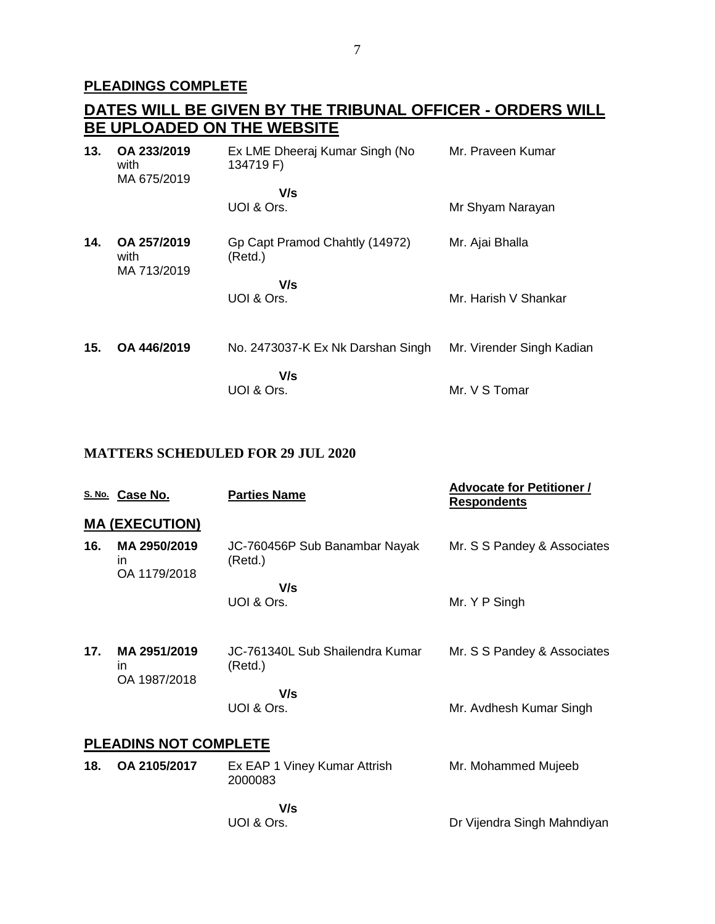### **PLEADINGS COMPLETE**

|     | DATES WILL BE GIVEN BY THE TRIBUNAL OFFICER - ORDERS WILL |                                             |                      |  |  |
|-----|-----------------------------------------------------------|---------------------------------------------|----------------------|--|--|
|     |                                                           | <b>BE UPLOADED ON THE WEBSITE</b>           |                      |  |  |
| 13. | OA 233/2019<br>with<br>MA 675/2019                        | Ex LME Dheeraj Kumar Singh (No<br>134719 F) | Mr. Praveen Kumar    |  |  |
|     |                                                           | V/s                                         |                      |  |  |
|     |                                                           | UOI & Ors.                                  | Mr Shyam Narayan     |  |  |
| 14. | OA 257/2019<br>with<br>MA 713/2019                        | Gp Capt Pramod Chahtly (14972)<br>(Retd.)   | Mr. Ajai Bhalla      |  |  |
|     |                                                           | V/s<br>UOI & Ors.                           | Mr. Harish V Shankar |  |  |

**15. OA 446/2019** No. 2473037-K Ex Nk Darshan Singh Mr. Virender Singh Kadian  **V/s** UOI & Ors. Mr. V S Tomar

### **MATTERS SCHEDULED FOR 29 JUL 2020**

|                              | S. No. Case No.                    | <b>Parties Name</b>                        | <b>Advocate for Petitioner /</b><br><b>Respondents</b> |  |
|------------------------------|------------------------------------|--------------------------------------------|--------------------------------------------------------|--|
|                              | <b>MA (EXECUTION)</b>              |                                            |                                                        |  |
| 16.                          | MA 2950/2019<br>in<br>OA 1179/2018 | JC-760456P Sub Banambar Nayak<br>(Retd.)   | Mr. S S Pandey & Associates                            |  |
|                              |                                    | V/s<br>UOI & Ors.                          | Mr. Y P Singh                                          |  |
| 17.                          | MA 2951/2019<br>in<br>OA 1987/2018 | JC-761340L Sub Shailendra Kumar<br>(Retd.) | Mr. S S Pandey & Associates                            |  |
|                              |                                    | V/s<br>UOI & Ors.                          | Mr. Avdhesh Kumar Singh                                |  |
| <b>PLEADINS NOT COMPLETE</b> |                                    |                                            |                                                        |  |
| 18.                          | OA 2105/2017                       | Ex EAP 1 Viney Kumar Attrish<br>2000083    | Mr. Mohammed Mujeeb                                    |  |
|                              |                                    | V/s                                        |                                                        |  |

UOI & Ors. Dr Vijendra Singh Mahndiyan